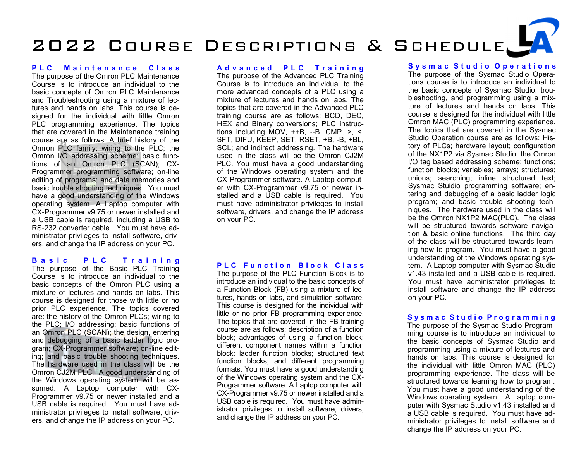# 2022 COURSE DESCRIPTIONS & SCHEDULE

#### PLC Maintenance Class

 The purpose of the Omron PLC Maintenance Course is to introduce an individual to the basic concepts of Omron PLC Maintenance and Troubleshooting using a mixture of lectures and hands on labs. This course is designed for the individual with little Omron PLC programming experience. The topics that are covered in the Maintenance training course are as follows: A brief history of the Omron PLC family; wiring to the PLC; the Omron I/O addressing scheme; basic functions of an Omron PLC (SCAN); CX- Programmer programming software; on-line editing of programs; and data memories and basic trouble shooting techniques. You must have a good understanding of the Windows operating system. A Laptop computer with CX-Programmer v9.75 or newer installed and a USB cable is required, including a USB to RS-232 converter cable. You must have administrator privileges to install software, drivers, and change the IP address on your PC.

# Basic PLC Training

 The purpose of the Basic PLC Training Course is to introduce an individual to the basic concepts of the Omron PLC using a mixture of lectures and hands on labs. This course is designed for those with little or no prior PLC experience. The topics covered are: the history of the Omron PLCs; wiring to the PLC; I/O addressing; basic functions of an Omron PLC (SCAN); the design, entering and debugging of a basic ladder logic program; CX-Programmer software; on-line editing; and basic trouble shooting techniques. The hardware used in the class will be the Omron CJ2M PLC. A good understanding of the Windows operating system will be assumed. A Laptop computer with CX- Programmer v9.75 or newer installed and a USB cable is required. You must have administrator privileges to install software, drivers, and change the IP address on your PC.

# A d v a n c e d P L C T r a i n i n g

 The purpose of the Advanced PLC Training Course is to introduce an individual to the more advanced concepts of a PLC using a mixture of lectures and hands on labs. The topics that are covered in the Advanced PLC training course are as follows: BCD, DEC, HEX and Binary conversions; PLC instructions including  $\text{MOV}, ++B, -B, \text{ CMP}, >, <,$  SFT, DIFU, KEEP, SET, RSET, +B, -B, +BL, SCL; and indirect addressing. The hardware used in the class will be the Omron CJ2M PLC. You must have a good understanding of the Windows operating system and the CX-Programmer software. A Laptop computer with CX-Programmer v9.75 or newer installed and a USB cable is required. You must have administrator privileges to install software, drivers, and change the IP address on your PC.

### PLC Function Block Class

 The purpose of the PLC Function Block is to introduce an individual to the basic concepts of a Function Block (FB) using a mixture of lectures, hands on labs, and simulation software. This course is designed for the individual with little or no prior FB programming experience. The topics that are covered in the FB training course are as follows: description of a function block; advantages of using a function block; different component names within a function block; ladder function blocks; structured text function blocks; and different programming formats. You must have a good understanding of the Windows operating system and the CX- Programmer software. A Laptop computer with CX-Programmer v9.75 or newer installed and a USB cable is required. You must have administrator privileges to install software, drivers, and change the IP address on your PC.

#### Sysmac Studio Operations

 The purpose of the Sysmac Studio Operations course is to introduce an individual to the basic concepts of Sysmac Studio, troubleshooting, and programming using a mixture of lectures and hands on labs. This course is designed for the individual with little Omron MAC (PLC) programming experience. The topics that are covered in the Sysmac Studio Operation course are as follows: History of PLCs; hardware layout; configuration of the NX1P2 via Sysmac Studio; the Omron I/O tag based addressing scheme; functions; function blocks; variables; arrays; structures; unions; searching; inline structured text; Sysmac Stuidio programming software; entering and debugging of a basic ladder logic program; and basic trouble shooting techniques. The hardware used in the class will be the Omron NX1P2 MAC(PLC). The class will be structured towards software navigation & basic online functions. The third day of the class will be structured towards learning how to program. You must have a good understanding of the Windows operating system. A Laptop computer with Sysmac Studio v1.43 installed and a USB cable is required. You must have administrator privileges to install software and change the IP address on your PC.

## Sysmac Studio Programming

 The purpose of the Sysmac Studio Programming course is to introduce an individual to the basic concepts of Sysmac Studio and programming using a mixture of lectures and hands on labs. This course is designed for the individual with little Omron MAC (PLC) programming experience. The class will be structured towards learning how to program. You must have a good understanding of the Windows operating system. A Laptop computer with Sysmac Studio v1.43 installed and a USB cable is required. You must have administrator privileges to install software and change the IP address on your PC.